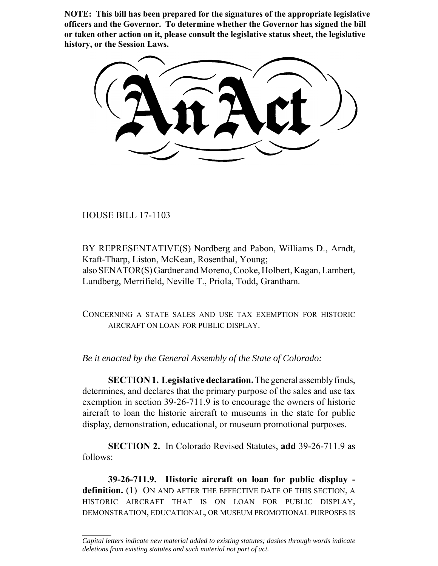**NOTE: This bill has been prepared for the signatures of the appropriate legislative officers and the Governor. To determine whether the Governor has signed the bill or taken other action on it, please consult the legislative status sheet, the legislative history, or the Session Laws.**

HOUSE BILL 17-1103

 $\frac{1}{2}$ 

BY REPRESENTATIVE(S) Nordberg and Pabon, Williams D., Arndt, Kraft-Tharp, Liston, McKean, Rosenthal, Young; also SENATOR(S) Gardner and Moreno, Cooke, Holbert, Kagan, Lambert, Lundberg, Merrifield, Neville T., Priola, Todd, Grantham.

CONCERNING A STATE SALES AND USE TAX EXEMPTION FOR HISTORIC AIRCRAFT ON LOAN FOR PUBLIC DISPLAY.

*Be it enacted by the General Assembly of the State of Colorado:*

**SECTION 1. Legislative declaration.** The general assembly finds, determines, and declares that the primary purpose of the sales and use tax exemption in section 39-26-711.9 is to encourage the owners of historic aircraft to loan the historic aircraft to museums in the state for public display, demonstration, educational, or museum promotional purposes.

**SECTION 2.** In Colorado Revised Statutes, **add** 39-26-711.9 as follows:

**39-26-711.9. Historic aircraft on loan for public display definition.** (1) ON AND AFTER THE EFFECTIVE DATE OF THIS SECTION, A HISTORIC AIRCRAFT THAT IS ON LOAN FOR PUBLIC DISPLAY, DEMONSTRATION, EDUCATIONAL, OR MUSEUM PROMOTIONAL PURPOSES IS

*Capital letters indicate new material added to existing statutes; dashes through words indicate deletions from existing statutes and such material not part of act.*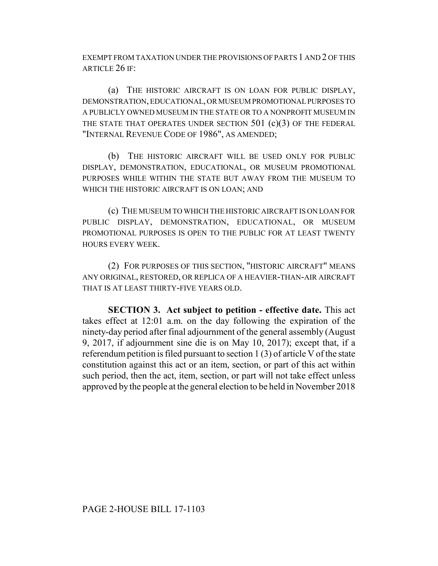EXEMPT FROM TAXATION UNDER THE PROVISIONS OF PARTS 1 AND 2 OF THIS ARTICLE 26 IF:

(a) THE HISTORIC AIRCRAFT IS ON LOAN FOR PUBLIC DISPLAY, DEMONSTRATION, EDUCATIONAL, OR MUSEUM PROMOTIONAL PURPOSES TO A PUBLICLY OWNED MUSEUM IN THE STATE OR TO A NONPROFIT MUSEUM IN THE STATE THAT OPERATES UNDER SECTION 501 (c)(3) OF THE FEDERAL "INTERNAL REVENUE CODE OF 1986", AS AMENDED;

(b) THE HISTORIC AIRCRAFT WILL BE USED ONLY FOR PUBLIC DISPLAY, DEMONSTRATION, EDUCATIONAL, OR MUSEUM PROMOTIONAL PURPOSES WHILE WITHIN THE STATE BUT AWAY FROM THE MUSEUM TO WHICH THE HISTORIC AIRCRAFT IS ON LOAN; AND

(c) THE MUSEUM TO WHICH THE HISTORIC AIRCRAFT IS ON LOAN FOR PUBLIC DISPLAY, DEMONSTRATION, EDUCATIONAL, OR MUSEUM PROMOTIONAL PURPOSES IS OPEN TO THE PUBLIC FOR AT LEAST TWENTY HOURS EVERY WEEK.

(2) FOR PURPOSES OF THIS SECTION, "HISTORIC AIRCRAFT" MEANS ANY ORIGINAL, RESTORED, OR REPLICA OF A HEAVIER-THAN-AIR AIRCRAFT THAT IS AT LEAST THIRTY-FIVE YEARS OLD.

**SECTION 3. Act subject to petition - effective date.** This act takes effect at 12:01 a.m. on the day following the expiration of the ninety-day period after final adjournment of the general assembly (August 9, 2017, if adjournment sine die is on May 10, 2017); except that, if a referendum petition is filed pursuant to section 1 (3) of article V of the state constitution against this act or an item, section, or part of this act within such period, then the act, item, section, or part will not take effect unless approved by the people at the general election to be held in November 2018